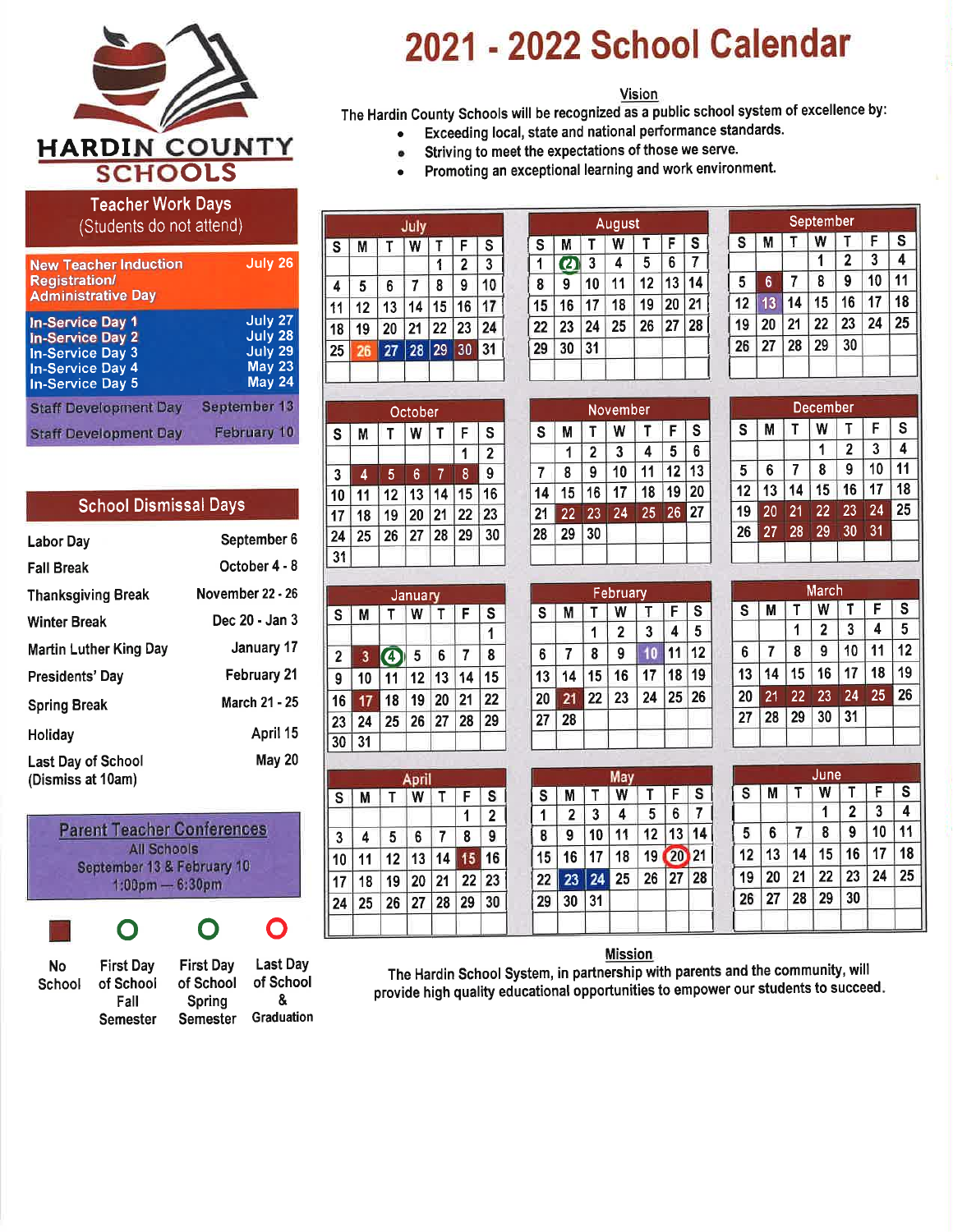

# 2021 - 2022 School Calendar

#### Vision

The Hardin County Schools will be recognized as a public school system of excellence by:

- Exceeding local, state and national performance standards.  $\bullet$
- Striving to meet the expectations of those we serve.  $\bullet$ 
	- Promoting an exceptional learning and work environment.

|   |  |                                         | Teacher Work Days' |  |
|---|--|-----------------------------------------|--------------------|--|
| _ |  | and the contract of the contract of the |                    |  |

(Students do not attend)

| <b>New Teacher Induction</b><br><b>Registration/</b><br><b>Administrative Day</b>                                                   | July 26                                                             |
|-------------------------------------------------------------------------------------------------------------------------------------|---------------------------------------------------------------------|
| <b>In-Service Day 1</b><br><b>In-Service Day 2</b><br><b>In-Service Day 3</b><br><b>In-Service Day 4</b><br><b>In-Service Day 5</b> | July 27<br>July 28<br>July 29<br>May <sub>23</sub><br><b>May 24</b> |
| <b>Staff Development Day</b>                                                                                                        | September 13                                                        |
| <b>Staff Development Day</b>                                                                                                        | <b>February 10</b>                                                  |

|  | <b>School Dismissal Days</b> |  |
|--|------------------------------|--|
|--|------------------------------|--|

| Labor Day                               | September 6      |
|-----------------------------------------|------------------|
| <b>Fall Break</b>                       | October 4 - 8    |
| <b>Thanksgiving Break</b>               | November 22 - 26 |
| <b>Winter Break</b>                     | Dec 20 - Jan 3   |
| Martin Luther King Day                  | January 17       |
| Presidents' Day                         | February 21      |
| <b>Spring Break</b>                     | March 21 - 25    |
| Holiday                                 | April 15         |
| Last Day of School<br>(Dismiss at 10am) | <b>May 20</b>    |

| <b>All Schools</b>                |
|-----------------------------------|
| September 13 & February 10        |
| $1:00 \text{pm} - 6:30 \text{pm}$ |

#### O O  $\mathbf \Omega$

| N٥     | <b>First Dav</b> | <b>First Dav</b> | <b>Last Day</b> |
|--------|------------------|------------------|-----------------|
| School | of School        | of School        | of School       |
|        | Fall             | Spring           | X.              |
|        | <b>Semester</b>  | <b>Semester</b>  | Graduation      |

| July         |    |    |    |    |                |                         |  |
|--------------|----|----|----|----|----------------|-------------------------|--|
| $\mathbf{s}$ | M  | т  | W  | т  | F              | $\overline{\mathbf{s}}$ |  |
|              |    |    |    | 1  | $\overline{2}$ | 3                       |  |
| 4            | 5  | 6  | 7  | 8  | 9              | 10                      |  |
| 11           | 12 | 13 | 14 | 15 | 16             | 17                      |  |
| 18           | 19 | 20 | 21 | 22 | 23             | 24                      |  |
| 25           | 26 | 27 | 28 | 29 | 30             | 31                      |  |
|              |    |    |    |    |                |                         |  |

October  $W$   $T$ 

 $\mathsf{T}^+$ 

 $12$ 

19  $|20|$ 

 $S$ M

 $3<sup>1</sup>$  $\overline{4}$  $\sqrt{5}$  $6\,$ 

 $10$ 

 $17$ 18 25

24 31

 $S$  | M

 $\overline{2}$  $\mathbf{3}$ 

 $9<sup>°</sup>$  $10$ 

 $16$ 17

 $23|24$ 

 $30 \mid 31$ 

 $S$  | M |

 $\overline{3}$  $\overline{\mathbf{4}}$  $5<sub>1</sub>$  $6\overline{6}$ 

10  $11$ 

 $17$ 18  $19$ 

24 25

 $\overline{11}$ 

 $\mathbf S$ 

 $\overline{2}$  $\mathbf{1}$  $\overline{8}$  $9$ 

16

23

30

 $\overline{1}$ 

15

 $\overline{\mathbf{s}}$ 

 $\overline{2}$  $\mathbf{1}$ 

23

21 22

28 29

 $T$   $F$ 

 $\overline{7}$  ${\bf 8}$ 9

 $12$  13 14 15 16

20 21 22

28 29 30

F

13 14 15

T | W | T | F | S

 $\bf 6$  $\overline{7}$ 8

 $11$  12 13 14

 $26|27$ 

18 19 20

April  $T$   $W$ 

26 27 28 29

January

 $\bigcirc$  5

25

 $26$ 27

21 22

 $\bullet$ 

| August       |    |    |    |    |    |    |  |  |
|--------------|----|----|----|----|----|----|--|--|
| $\mathbf{s}$ | M  |    | W  | Т  | F  | S  |  |  |
| 1            | U  | 3  | 4  | 5  | 6  |    |  |  |
| 8            | 9  | 10 | 11 | 12 | 13 | Z  |  |  |
| 15           | 16 | 17 | 18 | 19 | 20 | 21 |  |  |
| 22           | 23 | 24 | 25 | 26 | 27 | 28 |  |  |
| 29           | 30 | 31 |    |    |    |    |  |  |
|              |    |    |    |    |    |    |  |  |

|                         |                 |    | <b>September</b> |                |    |                         |
|-------------------------|-----------------|----|------------------|----------------|----|-------------------------|
| $\overline{\mathbf{s}}$ | M               | T  | w                |                | F  | $\overline{\mathbf{s}}$ |
|                         |                 |    |                  | $\overline{2}$ | 3  | 4                       |
| 5                       | $6\phantom{1}6$ | 7  | 8                | 9              | 10 | 11                      |
| 12                      | 13              | 14 | 15               | 16             | 17 | 18                      |
| 19                      | 20              | 21 | 22               | 23             | 24 | 25                      |
| 26                      | 27              | 28 | 29               | 30             |    |                         |
|                         |                 |    |                  |                |    |                         |

|                |    |    | November |                 |    |    |
|----------------|----|----|----------|-----------------|----|----|
| $\mathbf{s}$   | М  | т  | W        | т               | F  | S  |
|                | 1  | 2  | 3        | 4               | 5  | 6  |
| $\overline{7}$ | 8  | 9  | 10       | 11              | 12 | 13 |
| 14             | 15 | 16 | 17       | 18              | 19 | 20 |
| 21             | 22 | 23 | 24       | $2\overline{5}$ | 26 | 27 |
| 28             | 29 | 30 |          |                 |    |    |
|                |    |    |          |                 |    |    |

| February     |    |    |              |    |    |              |  |  |
|--------------|----|----|--------------|----|----|--------------|--|--|
| $\mathbf{s}$ | M  |    | w            |    | F  | $\mathbf{s}$ |  |  |
|              |    |    | $\mathbf{2}$ | 3  | 4  | 5            |  |  |
| 6            | 7  | 8  | 9            |    | 11 | 12           |  |  |
| 13           | 14 | 15 | 16           | 17 | 18 | 19           |  |  |
| 20           | 21 | 22 | 23           | 24 | 25 | 26           |  |  |
| 27           | 28 |    |              |    |    |              |  |  |
|              |    |    |              |    |    |              |  |  |

| December |    |    |    |    |    |    |  |  |
|----------|----|----|----|----|----|----|--|--|
| S        | М  | T  | W  | Т  | F  | S  |  |  |
|          |    |    | 1  | 2  | 3  | 4  |  |  |
| 5        | 6  | 7  | 8  | 9  | 10 | 11 |  |  |
| 12       | 13 | 14 | 15 | 16 | 17 | 18 |  |  |
| 19       | 20 | 21 | 22 | 23 | 24 | 25 |  |  |
| 26       | 27 | 28 | 29 | 30 | 31 |    |  |  |
|          |    |    |    |    |    |    |  |  |

| <u>March</u> |    |    |                |          |    |    |  |  |  |  |
|--------------|----|----|----------------|----------|----|----|--|--|--|--|
| S            | М  | Т  | W              | т        | F  | S  |  |  |  |  |
|              |    | 1  | $\overline{2}$ | 3        | 4  | 5  |  |  |  |  |
| 6            | 7  | 8  | 9              | 10<br>11 |    | 12 |  |  |  |  |
| 13           | 14 | 15 | 16             | 17       | 18 | 19 |  |  |  |  |
| 20           | 21 | 22 | 23             | 24       | 25 | 26 |  |  |  |  |
| 27           | 28 | 29 | 30             | 31       |    |    |  |  |  |  |
|              |    |    |                |          |    |    |  |  |  |  |

|    |                |    | May |    |    |    |
|----|----------------|----|-----|----|----|----|
| S  | M              |    | Ŵ   |    | F  | S  |
| 1  | $\overline{2}$ | 3  | 4   | 5  | 6  | 7  |
| 8  | 9              | 10 | 11  | 12 | 13 | 14 |
| 15 | 16             | 17 | 18  | 19 | 20 | 21 |
| 22 | 23             | 24 | 25  | 26 | 27 | 28 |
| 29 | 30             | 31 |     |    |    |    |
|    |                |    |     |    |    |    |

| June |    |    |    |    |    |    |  |  |  |  |
|------|----|----|----|----|----|----|--|--|--|--|
| S    | M  |    | W  |    | F  | S  |  |  |  |  |
|      |    |    |    | 2  | 3  | 4  |  |  |  |  |
| 5    | 6  |    | 8  | 9  | 10 | 11 |  |  |  |  |
| 12   | 13 | 14 | 15 | 16 | 17 | 18 |  |  |  |  |
| 19   | 20 | 21 | 22 | 23 | 24 | 25 |  |  |  |  |
| 26   | 27 | 28 | 29 | 30 |    |    |  |  |  |  |

### **Mission**

The Hardin School System, in partnership with parents and the community, will provide high quality educational opportunities to empower our students to succeed.